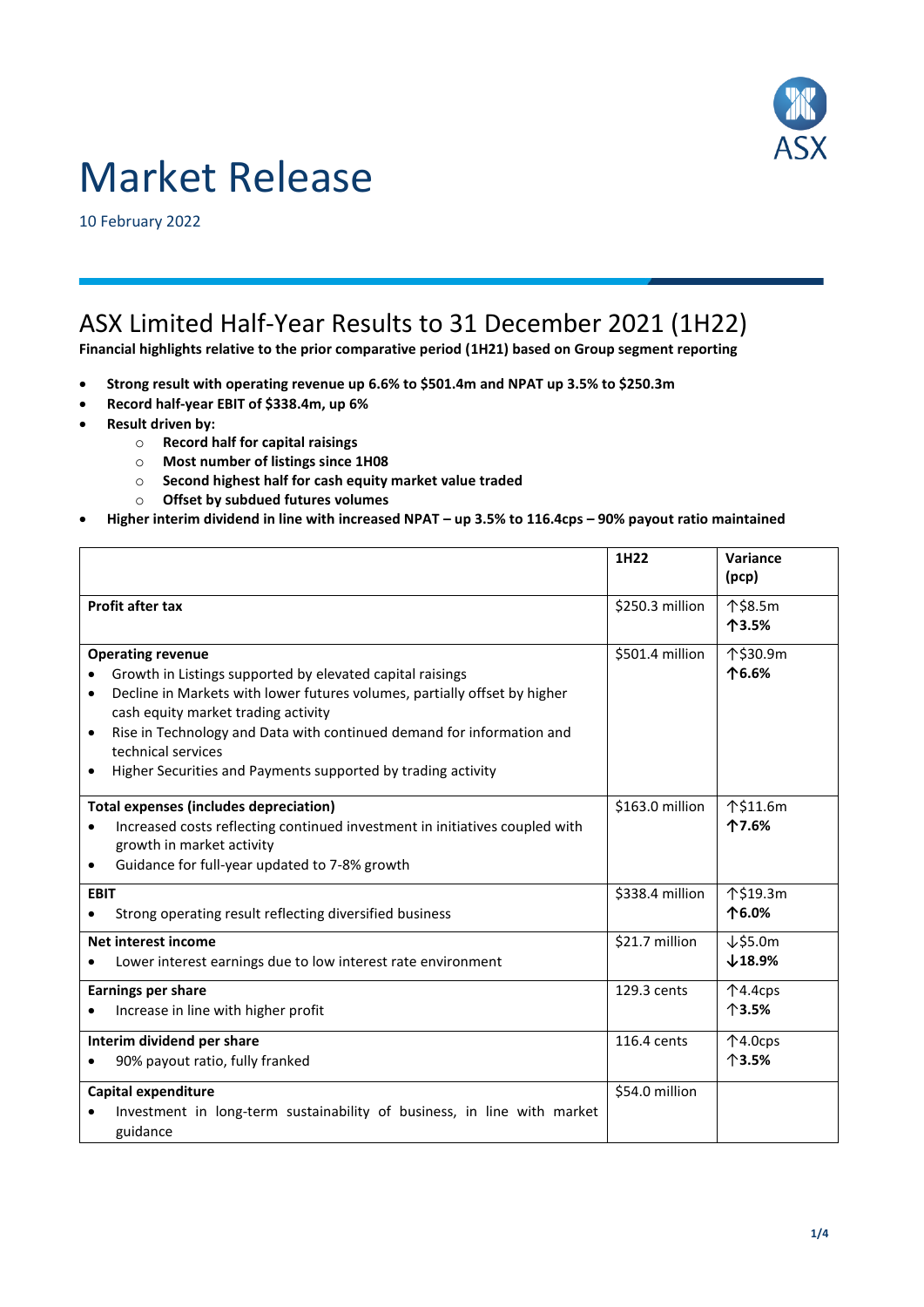

# Market Release

10 February 2022

## ASX Limited Half-Year Results to 31 December 2021 (1H22)

**Financial highlights relative to the prior comparative period (1H21) based on Group segment reporting**

- **Strong result with operating revenue up 6.6% to \$501.4m and NPAT up 3.5% to \$250.3m**
- **Record half-year EBIT of \$338.4m, up 6%**
- **Result driven by:**
	- o **Record half for capital raisings**
	- o **Most number of listings since 1H08**
	- o **Second highest half for cash equity market value traded**
	- o **Offset by subdued futures volumes**
- **Higher interim dividend in line with increased NPAT – up 3.5% to 116.4cps – 90% payout ratio maintained**

|                                                                                                                                                                                                                                                                                                                                                                                       | 1H22            | Variance<br>(pcp)                     |
|---------------------------------------------------------------------------------------------------------------------------------------------------------------------------------------------------------------------------------------------------------------------------------------------------------------------------------------------------------------------------------------|-----------------|---------------------------------------|
| <b>Profit after tax</b>                                                                                                                                                                                                                                                                                                                                                               | \$250.3 million | 个\$8.5m<br>个3.5%                      |
| <b>Operating revenue</b><br>Growth in Listings supported by elevated capital raisings<br>Decline in Markets with lower futures volumes, partially offset by higher<br>cash equity market trading activity<br>Rise in Technology and Data with continued demand for information and<br>$\bullet$<br>technical services<br>Higher Securities and Payments supported by trading activity | \$501.4 million | 个\$30.9m<br>个6.6%                     |
| <b>Total expenses (includes depreciation)</b><br>Increased costs reflecting continued investment in initiatives coupled with<br>growth in market activity<br>Guidance for full-year updated to 7-8% growth<br>$\bullet$                                                                                                                                                               | \$163.0 million | 个\$11.6m<br>个7.6%                     |
| <b>EBIT</b><br>Strong operating result reflecting diversified business                                                                                                                                                                                                                                                                                                                | \$338.4 million | 个\$19.3m<br>个6.0%                     |
| Net interest income<br>Lower interest earnings due to low interest rate environment                                                                                                                                                                                                                                                                                                   | \$21.7 million  | $\downarrow$ \$5.0m<br>$\times$ 18.9% |
| <b>Earnings per share</b><br>Increase in line with higher profit                                                                                                                                                                                                                                                                                                                      | 129.3 cents     | 个4.4cps<br>个3.5%                      |
| Interim dividend per share<br>90% payout ratio, fully franked                                                                                                                                                                                                                                                                                                                         | 116.4 cents     | $\uparrow$ 4.0cps<br>个3.5%            |
| Capital expenditure<br>Investment in long-term sustainability of business, in line with market<br>guidance                                                                                                                                                                                                                                                                            | \$54.0 million  |                                       |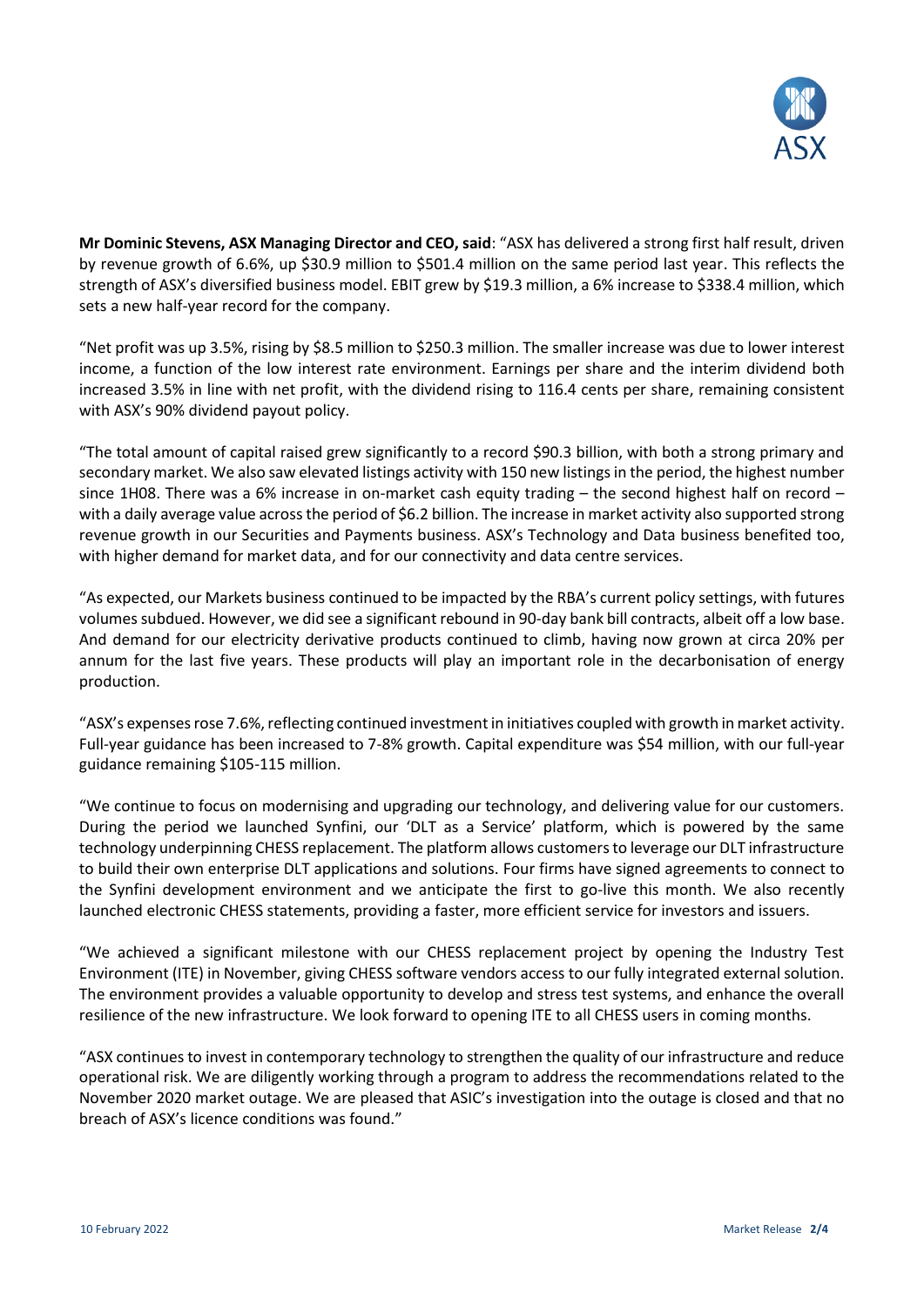

**Mr Dominic Stevens, ASX Managing Director and CEO, said**: "ASX has delivered a strong first half result, driven by revenue growth of 6.6%, up \$30.9 million to \$501.4 million on the same period last year. This reflects the strength of ASX's diversified business model. EBIT grew by \$19.3 million, a 6% increase to \$338.4 million, which sets a new half-year record for the company.

"Net profit was up 3.5%, rising by \$8.5 million to \$250.3 million. The smaller increase was due to lower interest income, a function of the low interest rate environment. Earnings per share and the interim dividend both increased 3.5% in line with net profit, with the dividend rising to 116.4 cents per share, remaining consistent with ASX's 90% dividend payout policy.

"The total amount of capital raised grew significantly to a record \$90.3 billion, with both a strong primary and secondary market. We also saw elevated listings activity with 150 new listings in the period, the highest number since 1H08. There was a 6% increase in on-market cash equity trading – the second highest half on record – with a daily average value across the period of \$6.2 billion. The increase in market activity also supported strong revenue growth in our Securities and Payments business. ASX's Technology and Data business benefited too, with higher demand for market data, and for our connectivity and data centre services.

"As expected, our Markets business continued to be impacted by the RBA's current policy settings, with futures volumes subdued. However, we did see a significant rebound in 90-day bank bill contracts, albeit off a low base. And demand for our electricity derivative products continued to climb, having now grown at circa 20% per annum for the last five years. These products will play an important role in the decarbonisation of energy production.

"ASX's expenses rose 7.6%, reflecting continued investment in initiatives coupled with growth in market activity. Full-year guidance has been increased to 7-8% growth. Capital expenditure was \$54 million, with our full-year guidance remaining \$105-115 million.

"We continue to focus on modernising and upgrading our technology, and delivering value for our customers. During the period we launched Synfini, our 'DLT as a Service' platform, which is powered by the same technology underpinning CHESS replacement. The platform allows customers to leverage our DLT infrastructure to build their own enterprise DLT applications and solutions. Four firms have signed agreements to connect to the Synfini development environment and we anticipate the first to go-live this month. We also recently launched electronic CHESS statements, providing a faster, more efficient service for investors and issuers.

"We achieved a significant milestone with our CHESS replacement project by opening the Industry Test Environment (ITE) in November, giving CHESS software vendors access to our fully integrated external solution. The environment provides a valuable opportunity to develop and stress test systems, and enhance the overall resilience of the new infrastructure. We look forward to opening ITE to all CHESS users in coming months.

"ASX continues to invest in contemporary technology to strengthen the quality of our infrastructure and reduce operational risk. We are diligently working through a program to address the recommendations related to the November 2020 market outage. We are pleased that ASIC's investigation into the outage is closed and that no breach of ASX's licence conditions was found."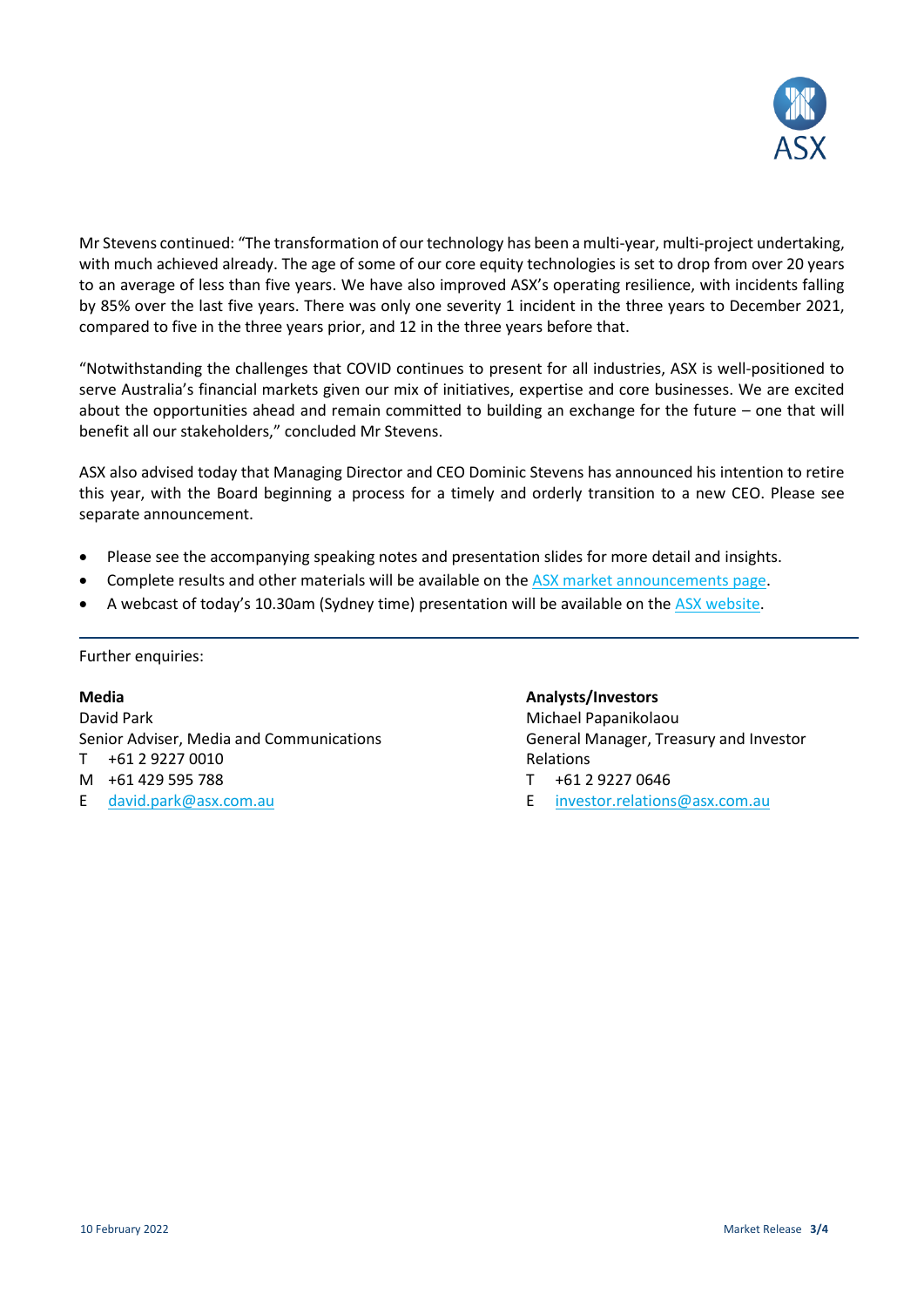

Mr Stevens continued: "The transformation of our technology has been a multi-year, multi-project undertaking, with much achieved already. The age of some of our core equity technologies is set to drop from over 20 years to an average of less than five years. We have also improved ASX's operating resilience, with incidents falling by 85% over the last five years. There was only one severity 1 incident in the three years to December 2021, compared to five in the three years prior, and 12 in the three years before that.

"Notwithstanding the challenges that COVID continues to present for all industries, ASX is well-positioned to serve Australia's financial markets given our mix of initiatives, expertise and core businesses. We are excited about the opportunities ahead and remain committed to building an exchange for the future – one that will benefit all our stakeholders," concluded Mr Stevens.

ASX also advised today that Managing Director and CEO Dominic Stevens has announced his intention to retire this year, with the Board beginning a process for a timely and orderly transition to a new CEO. Please see separate announcement.

- Please see the accompanying speaking notes and presentation slides for more detail and insights.
- Complete results and other materials will be available on the [ASX market announcements page.](https://www2.asx.com.au/markets/trade-our-cash-market/announcements.asx)
- A webcast of today's 10.30am (Sydney time) presentation will be available on the [ASX website.](https://publish.viostream.com/app/s-dmzbmr4)

Further enquiries:

#### **Media**

David Park Senior Adviser, Media and Communications T +61 2 9227 0010 M +61 429 595 788 E [david.park@asx.com.au](mailto:david.park@asx.com.au)

#### **Analysts/Investors**

Michael Papanikolaou General Manager, Treasury and Investor Relations

- T +61 2 9227 0646
- E [investor.relations@asx.com.au](mailto:investor.relations@asx.com.au)